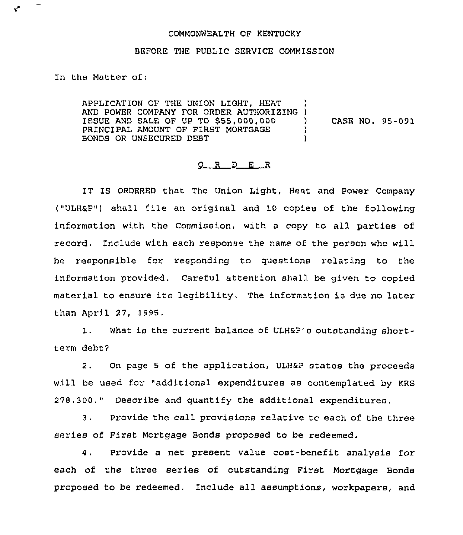## COMMONWEALTH OF KENTUCKY

## BEFORE THE PUBLIC SERVICE COMMISSION

In the Matter of:

 $\mathbf{v}^{\prime}$ 

APPLICATION OF THE UNION LIGHT, HEAT APPLICATION OF THE UNION LIGHT, HEAT ISSUE AND SALE OF UP TO 555,000,000 PRINCIPAL AMOUNT OF FIRST MORTGAGE BONDS OR UNSECURED DEBT ) ) CASE NO. 95-091 ) )

## 0 R <sup>D</sup> E <sup>R</sup>

IT IS ORDERED that The Union Light, Heat and Power Company ("ULH&P") shall file an original and 10 copies of the following information with the Commission, with a copy to all parties of record. Include with each response the name of the person who will be responsible for responding to questions relating to the information provided. Careful attention shall be given to copied material to ensure its legibility, The information is due no later than April 27, 1995.

1. What is the current balance of ULH&P's outstanding shortterm debt7

2. On page <sup>5</sup> of the application, ULH&P states the proceeds will be used for "additional expenditures as contemplated by KRS 278.300." Describe and quantify the additional expenditures.

3. Provide the call provisions relative tc each of the three series of First Mortgage Bonds proposed to be redeemed.

4. Provide a net present value cost-benefit analysis for each of the three series of outstanding First Mortgage Bonds proposed to be redeemed. Include all assumptions, workpapers, and